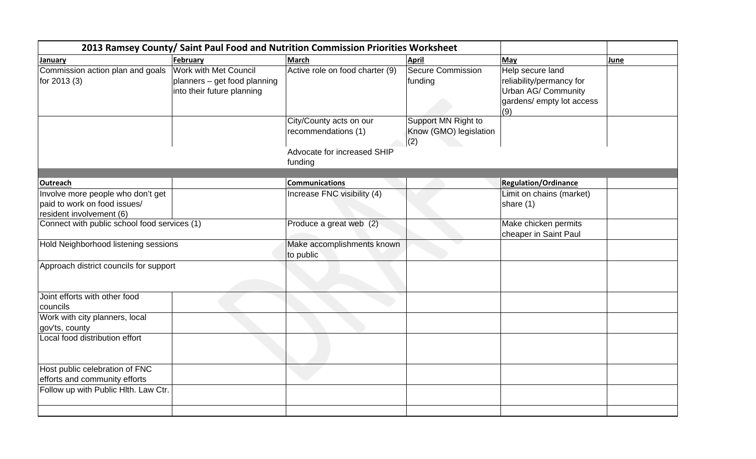| 2013 Ramsey County/ Saint Paul Food and Nutrition Commission Priorities Worksheet |                              |                                 |                          |                             |      |  |
|-----------------------------------------------------------------------------------|------------------------------|---------------------------------|--------------------------|-----------------------------|------|--|
| January                                                                           | February                     | <b>March</b>                    | <b>April</b>             | May                         | June |  |
| Commission action plan and goals                                                  | <b>Work with Met Council</b> | Active role on food charter (9) | <b>Secure Commission</b> | Help secure land            |      |  |
| for 2013 (3)                                                                      | planners - get food planning |                                 | funding                  | reliability/permancy for    |      |  |
|                                                                                   | into their future planning   |                                 |                          | Urban AG/ Community         |      |  |
|                                                                                   |                              |                                 |                          | gardens/ empty lot access   |      |  |
|                                                                                   |                              |                                 |                          | (9)                         |      |  |
|                                                                                   |                              | City/County acts on our         | Support MN Right to      |                             |      |  |
|                                                                                   |                              | recommendations (1)             | Know (GMO) legislation   |                             |      |  |
|                                                                                   |                              |                                 | (2)                      |                             |      |  |
|                                                                                   |                              | Advocate for increased SHIP     |                          |                             |      |  |
|                                                                                   |                              | funding                         |                          |                             |      |  |
|                                                                                   |                              |                                 |                          |                             |      |  |
| <b>Outreach</b>                                                                   |                              | <b>Communications</b>           |                          | <b>Regulation/Ordinance</b> |      |  |
| Involve more people who don't get                                                 |                              | Increase FNC visibility (4)     |                          | Limit on chains (market)    |      |  |
| paid to work on food issues/                                                      |                              |                                 |                          | share (1)                   |      |  |
| resident involvement (6)                                                          |                              |                                 |                          |                             |      |  |
| Connect with public school food services (1)                                      |                              | Produce a great web (2)         |                          | Make chicken permits        |      |  |
|                                                                                   |                              |                                 |                          | cheaper in Saint Paul       |      |  |
| Hold Neighborhood listening sessions                                              |                              | Make accomplishments known      |                          |                             |      |  |
|                                                                                   |                              | to public                       |                          |                             |      |  |
| Approach district councils for support                                            |                              |                                 |                          |                             |      |  |
|                                                                                   |                              |                                 |                          |                             |      |  |
| Joint efforts with other food                                                     |                              |                                 |                          |                             |      |  |
| councils                                                                          |                              |                                 |                          |                             |      |  |
| Work with city planners, local                                                    |                              |                                 |                          |                             |      |  |
| gov'ts, county                                                                    |                              |                                 |                          |                             |      |  |
| Local food distribution effort                                                    |                              |                                 |                          |                             |      |  |
|                                                                                   |                              |                                 |                          |                             |      |  |
|                                                                                   |                              |                                 |                          |                             |      |  |
| Host public celebration of FNC                                                    |                              |                                 |                          |                             |      |  |
| efforts and community efforts                                                     |                              |                                 |                          |                             |      |  |
| Follow up with Public Hlth. Law Ctr.                                              |                              |                                 |                          |                             |      |  |
|                                                                                   |                              |                                 |                          |                             |      |  |
|                                                                                   |                              |                                 |                          |                             |      |  |